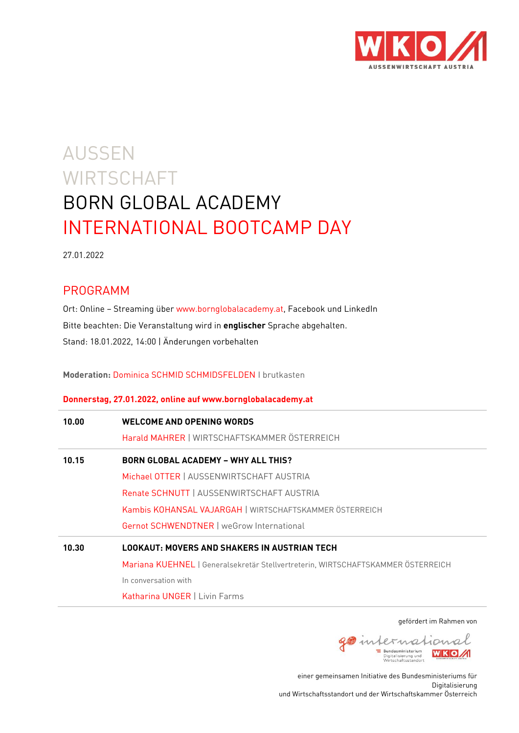

# AUSSEN **WIRTSCHAFT** BORN GLOBAL ACADEMY INTERNATIONAL BOOTCAMP DAY

27.01.2022

# PROGRAMM

Ort: Online – Streaming über [www.bornglobalacademy.at,](http://www.bornglobalacademy.at/) Facebook und LinkedIn Bitte beachten: Die Veranstaltung wird in **englischer** Sprache abgehalten. Stand: 18.01.2022, 14:00 | Änderungen vorbehalten

**Moderation:** Dominica SCHMID SCHMIDSFELDEN I brutkasten

## **Donnerstag, 27.01.2022, online auf www.bornglobalacademy.at**

| 10.00 | <b>WELCOME AND OPENING WORDS</b><br>Harald MAHRER   WIRTSCHAFTSKAMMER ÖSTERREICH |
|-------|----------------------------------------------------------------------------------|
| 10.15 | <b>BORN GLOBAL ACADEMY - WHY ALL THIS?</b>                                       |
|       | Michael OTTER   AUSSENWIRTSCHAFT AUSTRIA                                         |
|       | Renate SCHNUTT   AUSSENWIRTSCHAFT AUSTRIA                                        |
|       | Kambis KOHANSAL VAJARGAH   WIRTSCHAFTSKAMMER ÖSTERREICH                          |
|       | <b>Gernot SCHWENDTNER   weGrow International</b>                                 |
| 10.30 | <b>LOOKAUT: MOVERS AND SHAKERS IN AUSTRIAN TECH</b>                              |
|       | Mariana KUEHNEL   Generalsekretär Stellvertreterin, WIRTSCHAFTSKAMMER ÖSTERREICH |
|       | In conversation with                                                             |
|       | <b>Katharina UNGER   Livin Farms</b>                                             |

gefördert im Rahmen von



einer gemeinsamen Initiative des Bundesministeriums für Digitalisierung und Wirtschaftsstandort und der Wirtschaftskammer Österreich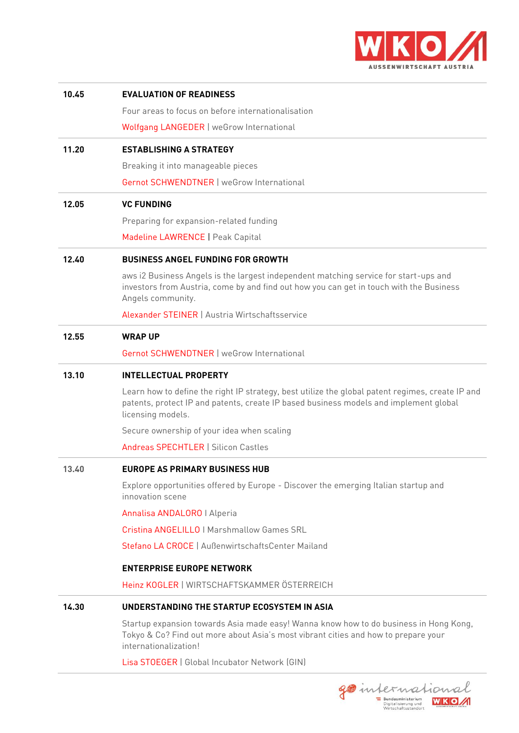

| 10.45 | <b>EVALUATION OF READINESS</b>                                                                                                                                                                                 |
|-------|----------------------------------------------------------------------------------------------------------------------------------------------------------------------------------------------------------------|
|       | Four areas to focus on before internationalisation                                                                                                                                                             |
|       | Wolfgang LANGEDER   weGrow International                                                                                                                                                                       |
| 11.20 | <b>ESTABLISHING A STRATEGY</b>                                                                                                                                                                                 |
|       | Breaking it into manageable pieces                                                                                                                                                                             |
|       | Gernot SCHWENDTNER   weGrow International                                                                                                                                                                      |
| 12.05 | <b>VC FUNDING</b>                                                                                                                                                                                              |
|       | Preparing for expansion-related funding                                                                                                                                                                        |
|       | Madeline LAWRENCE   Peak Capital                                                                                                                                                                               |
| 12.40 | <b>BUSINESS ANGEL FUNDING FOR GROWTH</b>                                                                                                                                                                       |
|       | aws i2 Business Angels is the largest independent matching service for start-ups and<br>investors from Austria, come by and find out how you can get in touch with the Business<br>Angels community.           |
|       | Alexander STEINER   Austria Wirtschaftsservice                                                                                                                                                                 |
| 12.55 | <b>WRAP UP</b>                                                                                                                                                                                                 |
|       | <b>Gernot SCHWENDTNER   weGrow International</b>                                                                                                                                                               |
| 13.10 | <b>INTELLECTUAL PROPERTY</b>                                                                                                                                                                                   |
|       | Learn how to define the right IP strategy, best utilize the global patent regimes, create IP and<br>patents, protect IP and patents, create IP based business models and implement global<br>licensing models. |
|       | Secure ownership of your idea when scaling                                                                                                                                                                     |
|       | Andreas SPECHTLER   Silicon Castles                                                                                                                                                                            |
| 13.40 | <b>EUROPE AS PRIMARY BUSINESS HUB</b>                                                                                                                                                                          |
|       | Explore opportunities offered by Europe - Discover the emerging Italian startup and<br>innovation scene                                                                                                        |
|       | Annalisa ANDALORO   Alperia                                                                                                                                                                                    |
|       | <b>Cristina ANGELILLO   Marshmallow Games SRL</b>                                                                                                                                                              |
|       | Stefano LA CROCE   AußenwirtschaftsCenter Mailand                                                                                                                                                              |
|       | <b>ENTERPRISE EUROPE NETWORK</b>                                                                                                                                                                               |
|       | Heinz KOGLER   WIRTSCHAFTSKAMMER ÖSTERREICH                                                                                                                                                                    |
| 14.30 | UNDERSTANDING THE STARTUP ECOSYSTEM IN ASIA                                                                                                                                                                    |
|       | Startup expansion towards Asia made easy! Wanna know how to do business in Hong Kong,<br>Tokyo & Co? Find out more about Asia's most vibrant cities and how to prepare your<br>internationalization!           |
|       | Lisa STOEGER   Global Incubator Network (GIN)                                                                                                                                                                  |